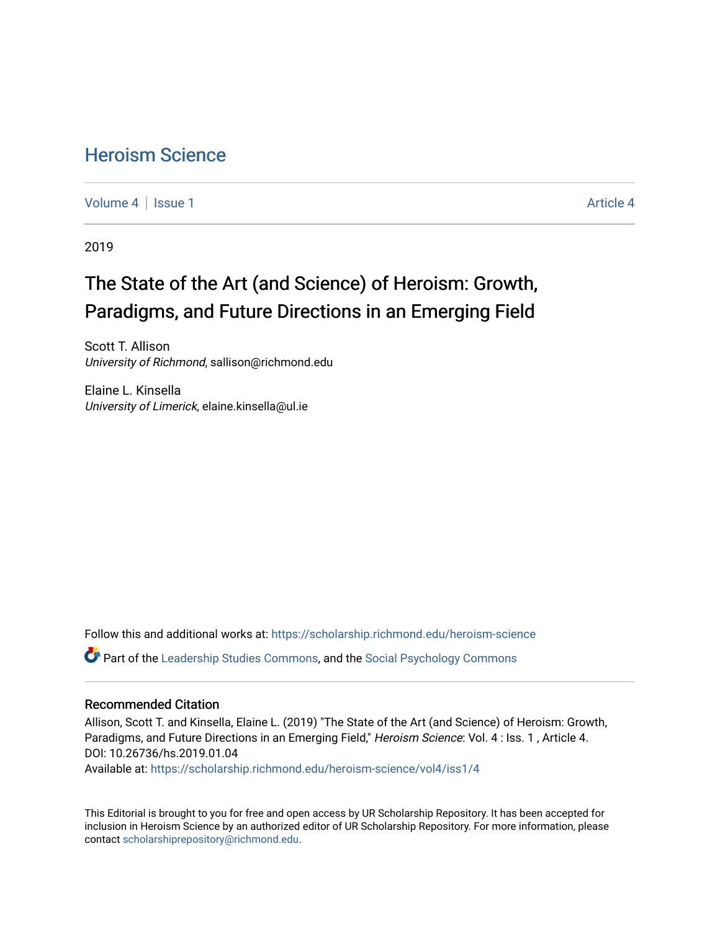# [Heroism Science](https://scholarship.richmond.edu/heroism-science)

[Volume 4](https://scholarship.richmond.edu/heroism-science/vol4) | [Issue 1](https://scholarship.richmond.edu/heroism-science/vol4/iss1) [Article 4](https://scholarship.richmond.edu/heroism-science/vol4/iss1/4) | Article 4 Article 4 | Article 4 Article 4 | Article 4 | Article 4 | Article 4 |

2019

# The State of the Art (and Science) of Heroism: Growth, Paradigms, and Future Directions in an Emerging Field

Scott T. Allison University of Richmond, sallison@richmond.edu

Elaine L. Kinsella University of Limerick, elaine.kinsella@ul.ie

Follow this and additional works at: [https://scholarship.richmond.edu/heroism-science](https://scholarship.richmond.edu/heroism-science?utm_source=scholarship.richmond.edu%2Fheroism-science%2Fvol4%2Fiss1%2F4&utm_medium=PDF&utm_campaign=PDFCoverPages)  Part of the [Leadership Studies Commons,](http://network.bepress.com/hgg/discipline/1250?utm_source=scholarship.richmond.edu%2Fheroism-science%2Fvol4%2Fiss1%2F4&utm_medium=PDF&utm_campaign=PDFCoverPages) and the [Social Psychology Commons](http://network.bepress.com/hgg/discipline/414?utm_source=scholarship.richmond.edu%2Fheroism-science%2Fvol4%2Fiss1%2F4&utm_medium=PDF&utm_campaign=PDFCoverPages) 

#### Recommended Citation

Allison, Scott T. and Kinsella, Elaine L. (2019) "The State of the Art (and Science) of Heroism: Growth, Paradigms, and Future Directions in an Emerging Field," Heroism Science: Vol. 4 : Iss. 1 , Article 4. DOI: 10.26736/hs.2019.01.04

Available at: [https://scholarship.richmond.edu/heroism-science/vol4/iss1/4](https://scholarship.richmond.edu/heroism-science/vol4/iss1/4?utm_source=scholarship.richmond.edu%2Fheroism-science%2Fvol4%2Fiss1%2F4&utm_medium=PDF&utm_campaign=PDFCoverPages)

This Editorial is brought to you for free and open access by UR Scholarship Repository. It has been accepted for inclusion in Heroism Science by an authorized editor of UR Scholarship Repository. For more information, please contact [scholarshiprepository@richmond.edu](mailto:scholarshiprepository@richmond.edu).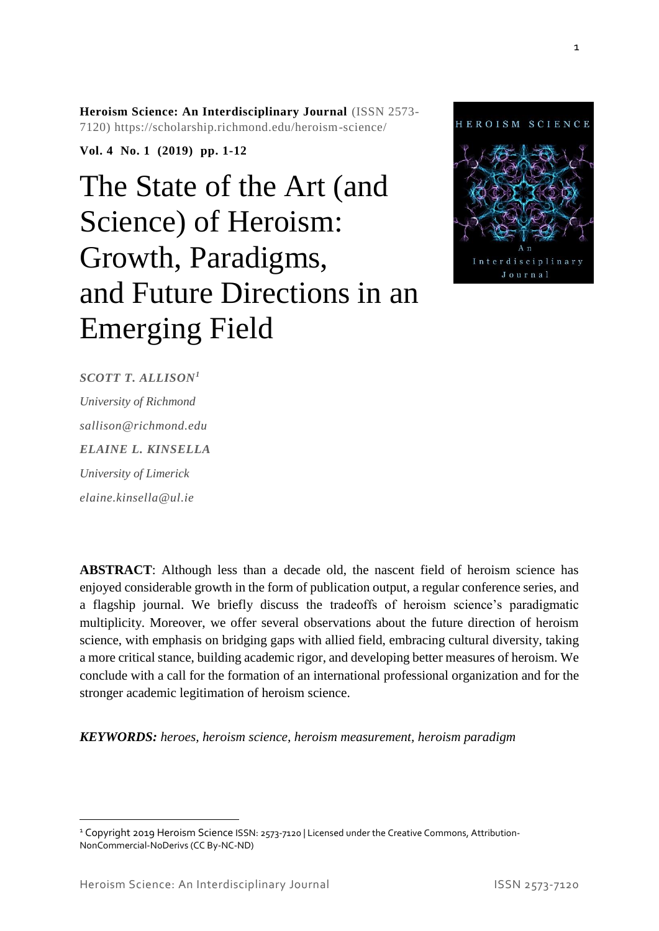**Heroism Science: An Interdisciplinary Journal** (ISSN 2573- 7120) https://scholarship.richmond.edu/heroism-science/

**Vol. 4 No. 1 (2019) pp. 1-12**

# The State of the Art (and Science) of Heroism: Growth, Paradigms, and Future Directions in an Emerging Field



*SCOTT T. ALLISON<sup>1</sup> University of Richmond sallison@richmond.edu ELAINE L. KINSELLA University of Limerick elaine.kinsella@ul.ie*

**ABSTRACT**: Although less than a decade old, the nascent field of heroism science has enjoyed considerable growth in the form of publication output, a regular conference series, and a flagship journal. We briefly discuss the tradeoffs of heroism science's paradigmatic multiplicity. Moreover, we offer several observations about the future direction of heroism science, with emphasis on bridging gaps with allied field, embracing cultural diversity, taking a more critical stance, building academic rigor, and developing better measures of heroism. We conclude with a call for the formation of an international professional organization and for the stronger academic legitimation of heroism science.

*KEYWORDS: heroes, heroism science, heroism measurement, heroism paradigm*

1

 $\overline{a}$ 

<sup>&</sup>lt;sup>1</sup> Copyright 2019 Heroism Science ISSN: 2573-7120 | Licensed under the Creative Commons, Attribution-NonCommercial-NoDerivs (CC By-NC-ND)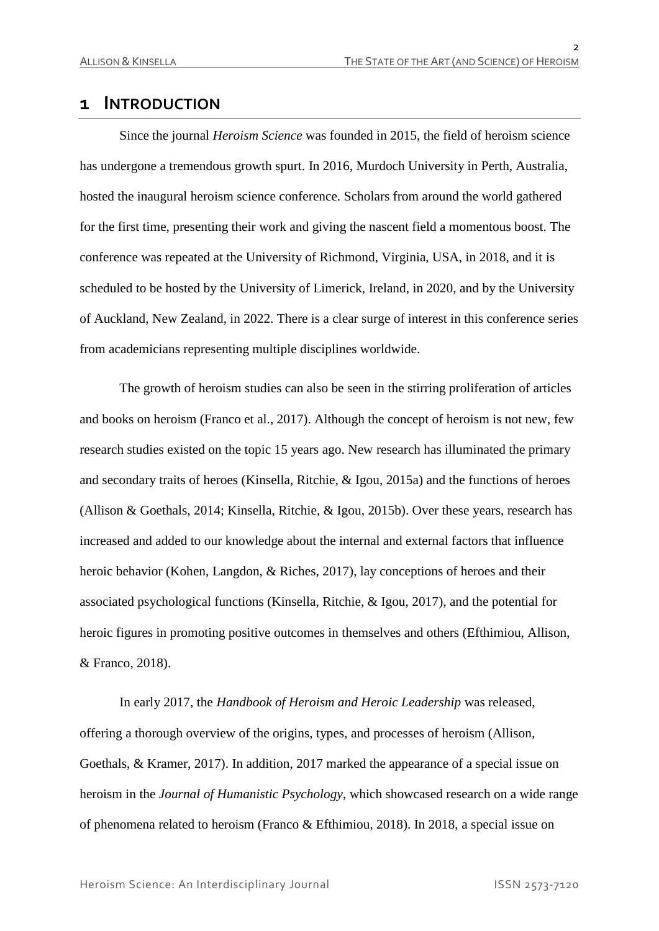$\overline{2}$ 

## **1 INTRODUCTION**

Since the journal *Heroism Science* was founded in 2015, the field of heroism science has undergone a tremendous growth spurt. In 2016, Murdoch University in Perth, Australia, hosted the inaugural heroism science conference. Scholars from around the world gathered for the first time, presenting their work and giving the nascent field a momentous boost. The conference was repeated at the University of Richmond, Virginia, USA, in 2018, and it is scheduled to be hosted by the University of Limerick, Ireland, in 2020, and by the University of Auckland, New Zealand, in 2022. There is a clear surge of interest in this conference series from academicians representing multiple disciplines worldwide.

The growth of heroism studies can also be seen in the stirring proliferation of articles and books on heroism (Franco et al., 2017). Although the concept of heroism is not new, few research studies existed on the topic 15 years ago. New research has illuminated the primary and secondary traits of heroes (Kinsella, Ritchie, & Igou, 2015a) and the functions of heroes (Allison & Goethals, 2014; Kinsella, Ritchie, & Igou, 2015b). Over these years, research has increased and added to our knowledge about the internal and external factors that influence heroic behavior (Kohen, Langdon, & Riches, 2017), lay conceptions of heroes and their associated psychological functions (Kinsella, Ritchie, & Igou, 2017), and the potential for heroic figures in promoting positive outcomes in themselves and others (Efthimiou, Allison, & Franco, 2018).

In early 2017, the *Handbook of Heroism and Heroic Leadership* was released, offering a thorough overview of the origins, types, and processes of heroism (Allison, Goethals, & Kramer, 2017). In addition, 2017 marked the appearance of a special issue on heroism in the *Journal of Humanistic Psychology*, which showcased research on a wide range of phenomena related to heroism (Franco & Efthimiou, 2018). In 2018, a special issue on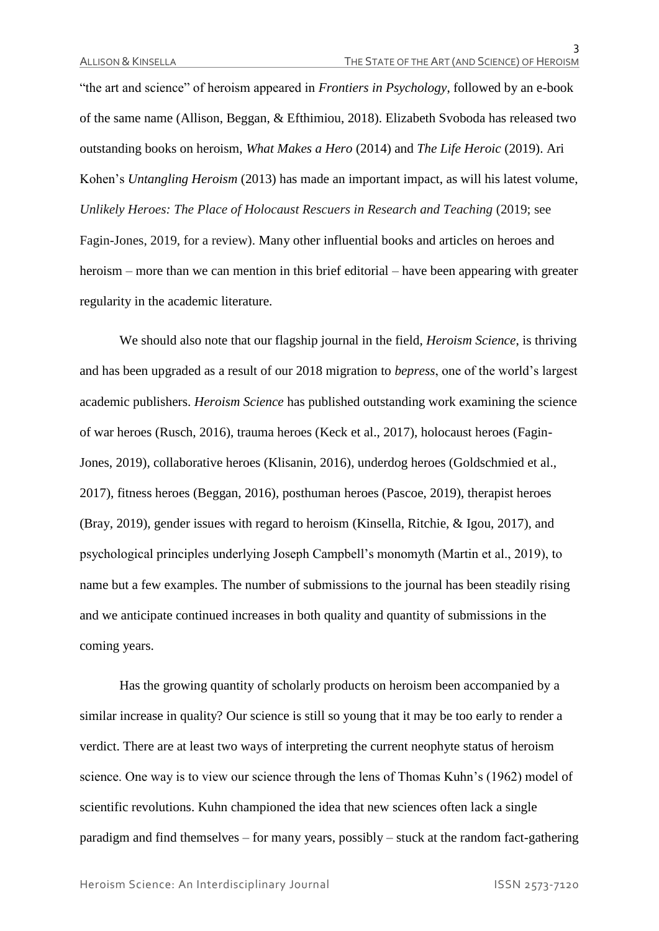"the art and science" of heroism appeared in *Frontiers in Psychology*, followed by an e-book of the same name (Allison, Beggan, & Efthimiou, 2018). Elizabeth Svoboda has released two outstanding books on heroism, *What Makes a Hero* (2014) and *The Life Heroic* (2019). Ari Kohen's *Untangling Heroism* (2013) has made an important impact, as will his latest volume, *Unlikely Heroes: The Place of Holocaust Rescuers in Research and Teaching* (2019; see Fagin-Jones, 2019, for a review). Many other influential books and articles on heroes and heroism – more than we can mention in this brief editorial – have been appearing with greater regularity in the academic literature.

We should also note that our flagship journal in the field, *Heroism Science*, is thriving and has been upgraded as a result of our 2018 migration to *bepress*, one of the world's largest academic publishers. *Heroism Science* has published outstanding work examining the science of war heroes (Rusch, 2016), trauma heroes (Keck et al., 2017), holocaust heroes (Fagin-Jones, 2019), collaborative heroes (Klisanin, 2016), underdog heroes (Goldschmied et al., 2017), fitness heroes (Beggan, 2016), posthuman heroes (Pascoe, 2019), therapist heroes (Bray, 2019), gender issues with regard to heroism (Kinsella, Ritchie, & Igou, 2017), and psychological principles underlying Joseph Campbell's monomyth (Martin et al., 2019), to name but a few examples. The number of submissions to the journal has been steadily rising and we anticipate continued increases in both quality and quantity of submissions in the coming years.

Has the growing quantity of scholarly products on heroism been accompanied by a similar increase in quality? Our science is still so young that it may be too early to render a verdict. There are at least two ways of interpreting the current neophyte status of heroism science. One way is to view our science through the lens of Thomas Kuhn's (1962) model of scientific revolutions. Kuhn championed the idea that new sciences often lack a single paradigm and find themselves – for many years, possibly – stuck at the random fact-gathering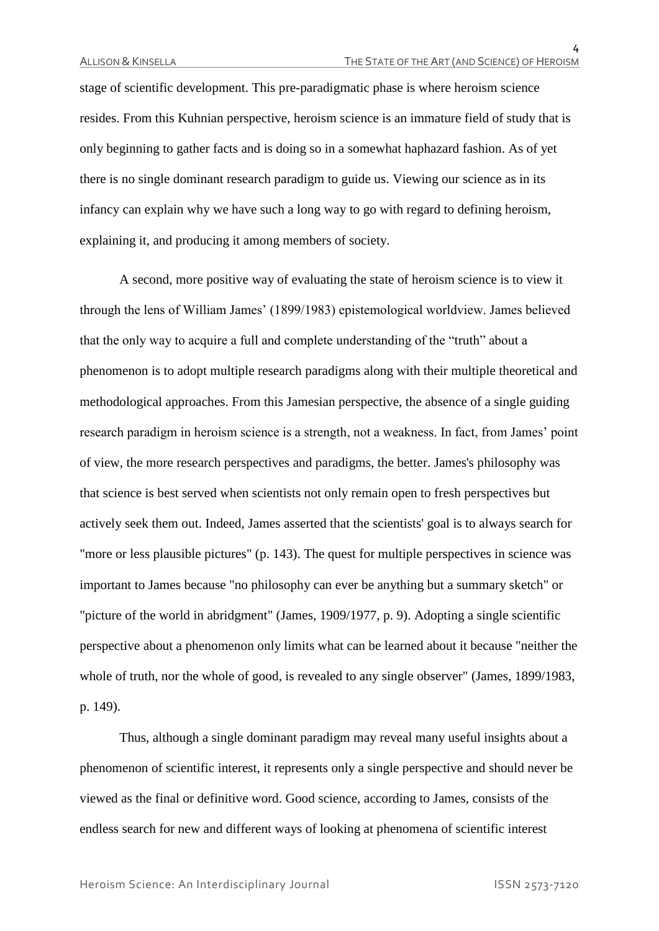stage of scientific development. This pre-paradigmatic phase is where heroism science resides. From this Kuhnian perspective, heroism science is an immature field of study that is only beginning to gather facts and is doing so in a somewhat haphazard fashion. As of yet there is no single dominant research paradigm to guide us. Viewing our science as in its infancy can explain why we have such a long way to go with regard to defining heroism, explaining it, and producing it among members of society.

A second, more positive way of evaluating the state of heroism science is to view it through the lens of William James' (1899/1983) epistemological worldview. James believed that the only way to acquire a full and complete understanding of the "truth" about a phenomenon is to adopt multiple research paradigms along with their multiple theoretical and methodological approaches. From this Jamesian perspective, the absence of a single guiding research paradigm in heroism science is a strength, not a weakness. In fact, from James' point of view, the more research perspectives and paradigms, the better. James's philosophy was that science is best served when scientists not only remain open to fresh perspectives but actively seek them out. Indeed, James asserted that the scientists' goal is to always search for "more or less plausible pictures" (p. 143). The quest for multiple perspectives in science was important to James because "no philosophy can ever be anything but a summary sketch" or "picture of the world in abridgment" (James, 1909/1977, p. 9). Adopting a single scientific perspective about a phenomenon only limits what can be learned about it because "neither the whole of truth, nor the whole of good, is revealed to any single observer" (James, 1899/1983, p. 149).

Thus, although a single dominant paradigm may reveal many useful insights about a phenomenon of scientific interest, it represents only a single perspective and should never be viewed as the final or definitive word. Good science, according to James, consists of the endless search for new and different ways of looking at phenomena of scientific interest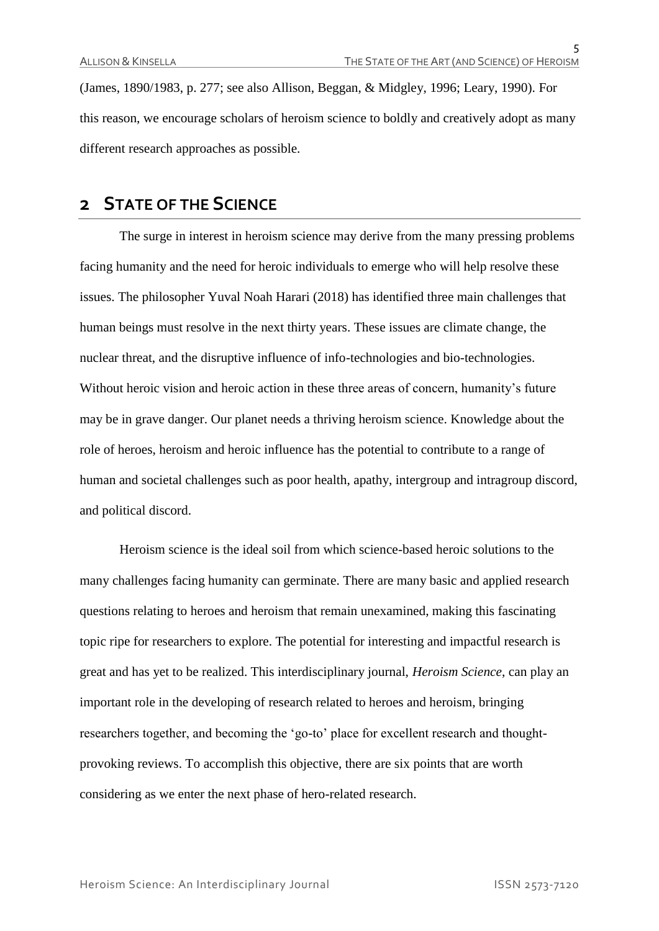(James, 1890/1983, p. 277; see also Allison, Beggan, & Midgley, 1996; Leary, 1990). For this reason, we encourage scholars of heroism science to boldly and creatively adopt as many different research approaches as possible.

### **2 STATE OF THE SCIENCE**

The surge in interest in heroism science may derive from the many pressing problems facing humanity and the need for heroic individuals to emerge who will help resolve these issues. The philosopher Yuval Noah Harari (2018) has identified three main challenges that human beings must resolve in the next thirty years. These issues are climate change, the nuclear threat, and the disruptive influence of info-technologies and bio-technologies. Without heroic vision and heroic action in these three areas of concern, humanity's future may be in grave danger. Our planet needs a thriving heroism science. Knowledge about the role of heroes, heroism and heroic influence has the potential to contribute to a range of human and societal challenges such as poor health, apathy, intergroup and intragroup discord, and political discord.

Heroism science is the ideal soil from which science-based heroic solutions to the many challenges facing humanity can germinate. There are many basic and applied research questions relating to heroes and heroism that remain unexamined, making this fascinating topic ripe for researchers to explore. The potential for interesting and impactful research is great and has yet to be realized. This interdisciplinary journal, *Heroism Science*, can play an important role in the developing of research related to heroes and heroism, bringing researchers together, and becoming the 'go-to' place for excellent research and thoughtprovoking reviews. To accomplish this objective, there are six points that are worth considering as we enter the next phase of hero-related research.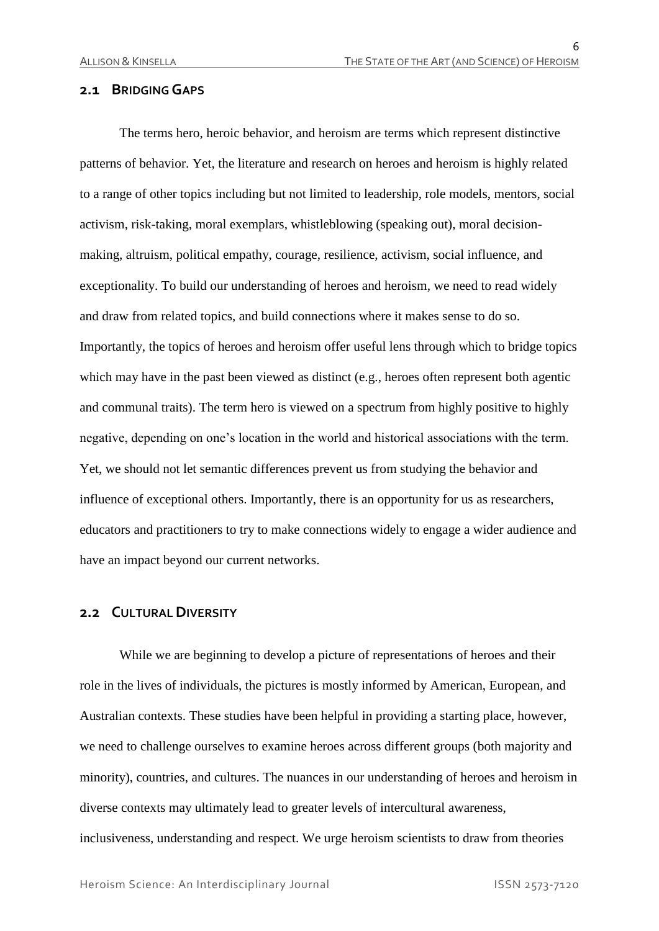#### **2.1 BRIDGING GAPS**

The terms hero, heroic behavior, and heroism are terms which represent distinctive patterns of behavior. Yet, the literature and research on heroes and heroism is highly related to a range of other topics including but not limited to leadership, role models, mentors, social activism, risk-taking, moral exemplars, whistleblowing (speaking out), moral decisionmaking, altruism, political empathy, courage, resilience, activism, social influence, and exceptionality. To build our understanding of heroes and heroism, we need to read widely and draw from related topics, and build connections where it makes sense to do so. Importantly, the topics of heroes and heroism offer useful lens through which to bridge topics which may have in the past been viewed as distinct (e.g., heroes often represent both agentic and communal traits). The term hero is viewed on a spectrum from highly positive to highly negative, depending on one's location in the world and historical associations with the term. Yet, we should not let semantic differences prevent us from studying the behavior and influence of exceptional others. Importantly, there is an opportunity for us as researchers, educators and practitioners to try to make connections widely to engage a wider audience and have an impact beyond our current networks.

#### **2.2 CULTURAL DIVERSITY**

While we are beginning to develop a picture of representations of heroes and their role in the lives of individuals, the pictures is mostly informed by American, European, and Australian contexts. These studies have been helpful in providing a starting place, however, we need to challenge ourselves to examine heroes across different groups (both majority and minority), countries, and cultures. The nuances in our understanding of heroes and heroism in diverse contexts may ultimately lead to greater levels of intercultural awareness, inclusiveness, understanding and respect. We urge heroism scientists to draw from theories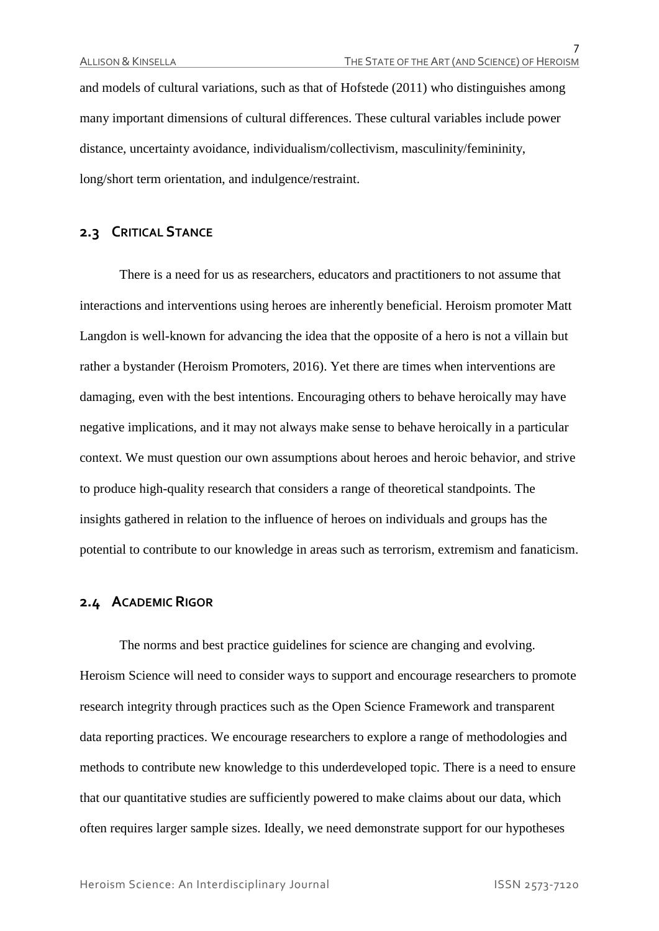and models of cultural variations, such as that of Hofstede (2011) who distinguishes among many important dimensions of cultural differences. These cultural variables include power distance, uncertainty avoidance, individualism/collectivism, masculinity/femininity, long/short term orientation, and indulgence/restraint.

#### **2.3 CRITICAL STANCE**

There is a need for us as researchers, educators and practitioners to not assume that interactions and interventions using heroes are inherently beneficial. Heroism promoter Matt Langdon is well-known for advancing the idea that the opposite of a hero is not a villain but rather a bystander (Heroism Promoters, 2016). Yet there are times when interventions are damaging, even with the best intentions. Encouraging others to behave heroically may have negative implications, and it may not always make sense to behave heroically in a particular context. We must question our own assumptions about heroes and heroic behavior, and strive to produce high-quality research that considers a range of theoretical standpoints. The insights gathered in relation to the influence of heroes on individuals and groups has the potential to contribute to our knowledge in areas such as terrorism, extremism and fanaticism.

#### **2.4 ACADEMIC RIGOR**

The norms and best practice guidelines for science are changing and evolving. Heroism Science will need to consider ways to support and encourage researchers to promote research integrity through practices such as the Open Science Framework and transparent data reporting practices. We encourage researchers to explore a range of methodologies and methods to contribute new knowledge to this underdeveloped topic. There is a need to ensure that our quantitative studies are sufficiently powered to make claims about our data, which often requires larger sample sizes. Ideally, we need demonstrate support for our hypotheses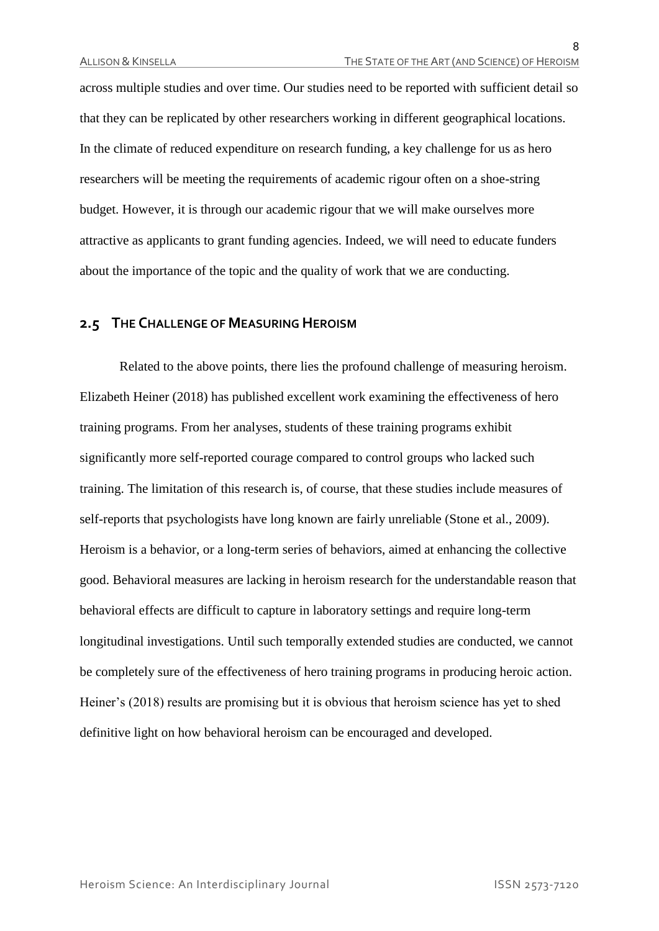across multiple studies and over time. Our studies need to be reported with sufficient detail so that they can be replicated by other researchers working in different geographical locations. In the climate of reduced expenditure on research funding, a key challenge for us as hero researchers will be meeting the requirements of academic rigour often on a shoe-string budget. However, it is through our academic rigour that we will make ourselves more attractive as applicants to grant funding agencies. Indeed, we will need to educate funders about the importance of the topic and the quality of work that we are conducting.

#### **2.5 THE CHALLENGE OF MEASURING HEROISM**

Related to the above points, there lies the profound challenge of measuring heroism. Elizabeth Heiner (2018) has published excellent work examining the effectiveness of hero training programs. From her analyses, students of these training programs exhibit significantly more self-reported courage compared to control groups who lacked such training. The limitation of this research is, of course, that these studies include measures of self-reports that psychologists have long known are fairly unreliable (Stone et al., 2009). Heroism is a behavior, or a long-term series of behaviors, aimed at enhancing the collective good. Behavioral measures are lacking in heroism research for the understandable reason that behavioral effects are difficult to capture in laboratory settings and require long-term longitudinal investigations. Until such temporally extended studies are conducted, we cannot be completely sure of the effectiveness of hero training programs in producing heroic action. Heiner's (2018) results are promising but it is obvious that heroism science has yet to shed definitive light on how behavioral heroism can be encouraged and developed.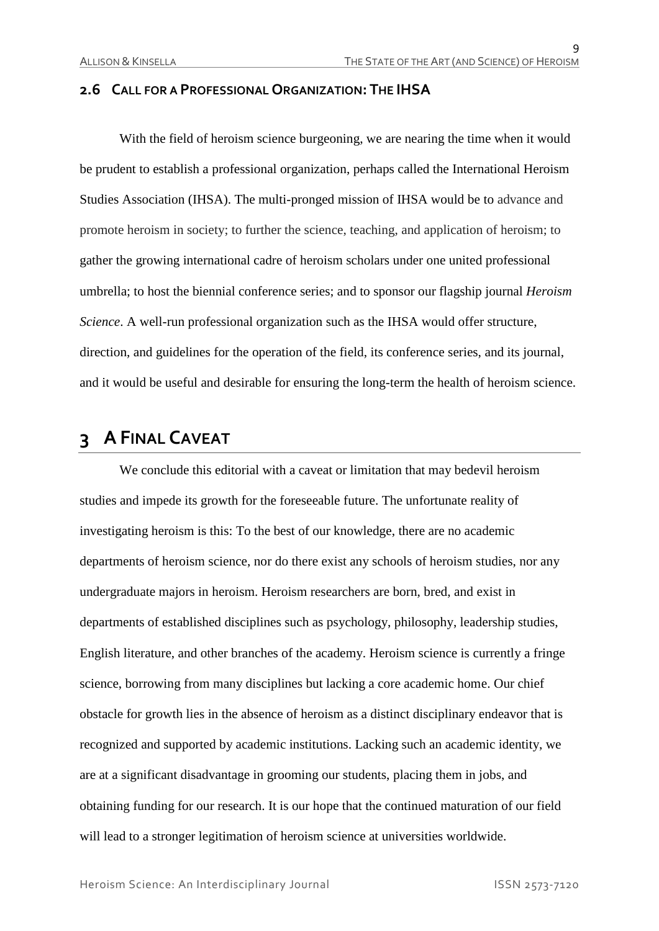#### **2.6 CALL FOR A PROFESSIONAL ORGANIZATION: THE IHSA**

With the field of heroism science burgeoning, we are nearing the time when it would be prudent to establish a professional organization, perhaps called the International Heroism Studies Association (IHSA). The multi-pronged mission of IHSA would be to advance and promote heroism in society; to further the science, teaching, and application of heroism; to gather the growing international cadre of heroism scholars under one united professional umbrella; to host the biennial conference series; and to sponsor our flagship journal *Heroism Science*. A well-run professional organization such as the IHSA would offer structure, direction, and guidelines for the operation of the field, its conference series, and its journal, and it would be useful and desirable for ensuring the long-term the health of heroism science.

# **3 A FINAL CAVEAT**

We conclude this editorial with a caveat or limitation that may bedevil heroism studies and impede its growth for the foreseeable future. The unfortunate reality of investigating heroism is this: To the best of our knowledge, there are no academic departments of heroism science, nor do there exist any schools of heroism studies, nor any undergraduate majors in heroism. Heroism researchers are born, bred, and exist in departments of established disciplines such as psychology, philosophy, leadership studies, English literature, and other branches of the academy. Heroism science is currently a fringe science, borrowing from many disciplines but lacking a core academic home. Our chief obstacle for growth lies in the absence of heroism as a distinct disciplinary endeavor that is recognized and supported by academic institutions. Lacking such an academic identity, we are at a significant disadvantage in grooming our students, placing them in jobs, and obtaining funding for our research. It is our hope that the continued maturation of our field will lead to a stronger legitimation of heroism science at universities worldwide.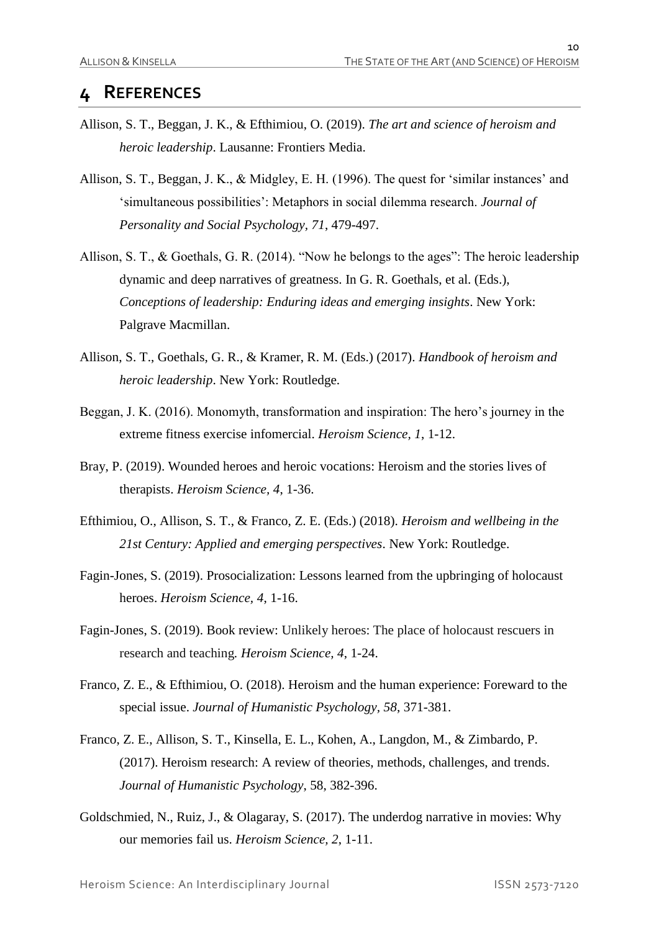## **4 REFERENCES**

- Allison, S. T., Beggan, J. K., & Efthimiou, O. (2019). *The art and science of heroism and heroic leadership*. Lausanne: Frontiers Media.
- Allison, S. T., Beggan, J. K., & Midgley, E. H. (1996). The quest for 'similar instances' and 'simultaneous possibilities': Metaphors in social dilemma research. *Journal of Personality and Social Psychology, 71*, 479-497.
- Allison, S. T., & Goethals, G. R. (2014). "Now he belongs to the ages": The heroic leadership dynamic and deep narratives of greatness. In G. R. Goethals, et al. (Eds.), *Conceptions of leadership: Enduring ideas and emerging insights*. New York: Palgrave Macmillan.
- Allison, S. T., Goethals, G. R., & Kramer, R. M. (Eds.) (2017). *Handbook of heroism and heroic leadership*. New York: Routledge.
- Beggan, J. K. (2016). Monomyth, transformation and inspiration: The hero's journey in the extreme fitness exercise infomercial. *Heroism Science, 1*, 1-12.
- Bray, P. (2019). Wounded heroes and heroic vocations: Heroism and the stories lives of therapists. *Heroism Science, 4*, 1-36.
- Efthimiou, O., Allison, S. T., & Franco, Z. E. (Eds.) (2018). *Heroism and wellbeing in the 21st Century: Applied and emerging perspectives*. New York: Routledge.
- Fagin-Jones, S. (2019). Prosocialization: Lessons learned from the upbringing of holocaust heroes. *Heroism Science, 4*, 1-16.
- Fagin-Jones, S. (2019). Book review: Unlikely heroes: The place of holocaust rescuers in research and teaching*. Heroism Science, 4*, 1-24.
- Franco, Z. E., & Efthimiou, O. (2018). Heroism and the human experience: Foreward to the special issue. *Journal of Humanistic Psychology, 58*, 371-381.
- Franco, Z. E., Allison, S. T., Kinsella, E. L., Kohen, A., Langdon, M., & Zimbardo, P. (2017). Heroism research: A review of theories, methods, challenges, and trends. *Journal of Humanistic Psychology*, 58, 382-396.
- Goldschmied, N., Ruiz, J., & Olagaray, S. (2017). The underdog narrative in movies: Why our memories fail us. *Heroism Science, 2*, 1-11.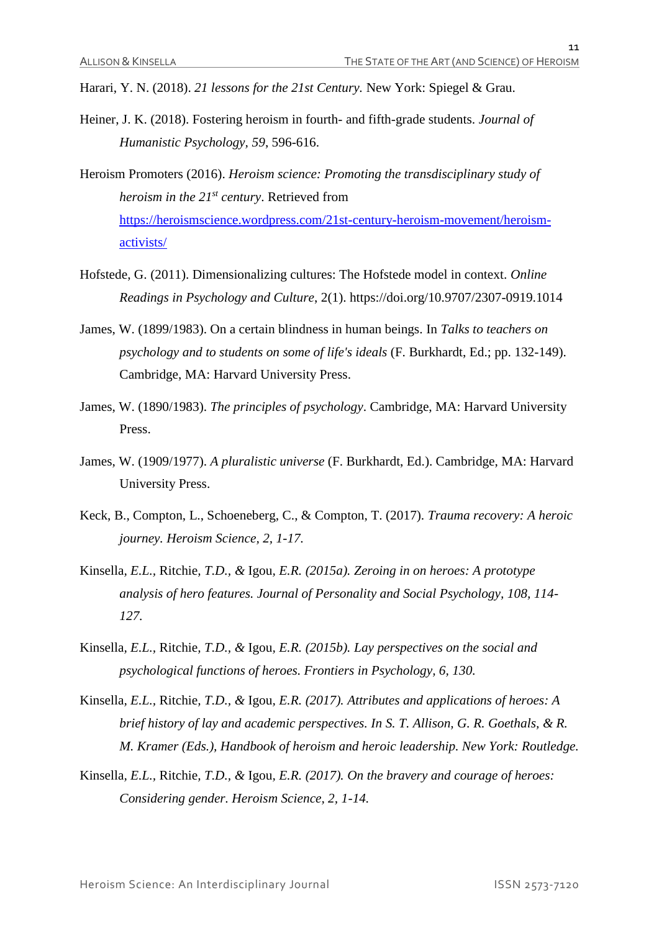Harari, Y. N. (2018). *21 lessons for the 21st Century.* New York: Spiegel & Grau.

Heiner, J. K. (2018). Fostering heroism in fourth- and fifth-grade students. *Journal of Humanistic Psychology, 59*, 596-616.

Heroism Promoters (2016). *Heroism science: Promoting the transdisciplinary study of heroism in the 21st century*. Retrieved from [https://heroismscience.wordpress.com/21st-century-heroism-movement/heroism](https://heroismscience.wordpress.com/21st-century-heroism-movement/heroism-activists/)[activists/](https://heroismscience.wordpress.com/21st-century-heroism-movement/heroism-activists/)

- Hofstede, G. (2011). Dimensionalizing cultures: The Hofstede model in context. *Online Readings in Psychology and Culture*, 2(1). https://doi.org/10.9707/2307-0919.1014
- James, W. (1899/1983). On a certain blindness in human beings. In *Talks to teachers on psychology and to students on some of life's ideals* (F. Burkhardt, Ed.; pp. 132-149). Cambridge, MA: Harvard University Press.
- James, W. (1890/1983). *The principles of psychology*. Cambridge, MA: Harvard University Press.
- James, W. (1909/1977). *A pluralistic universe* (F. Burkhardt, Ed.). Cambridge, MA: Harvard University Press.
- Keck, B., Compton, L., Schoeneberg, C., & Compton, T. (2017). *Trauma recovery: A heroic journey. Heroism Science, 2, 1-17.*
- Kinsella*, E.L.,* Ritchie*, T.D., &* Igou*, E.R. (2015a). Zeroing in on heroes: A prototype analysis of hero features. Journal of Personality and Social Psychology, 108, 114- 127.*
- Kinsella*, E.L.,* Ritchie*, T.D., &* Igou*, E.R. (2015b). Lay perspectives on the social and psychological functions of heroes. Frontiers in Psychology, 6, 130.*
- Kinsella*, E.L.,* Ritchie*, T.D., &* Igou*, E.R. (2017). Attributes and applications of heroes: A brief history of lay and academic perspectives. In S. T. Allison, G. R. Goethals, & R. M. Kramer (Eds.), Handbook of heroism and heroic leadership. New York: Routledge.*
- Kinsella*, E.L.,* Ritchie*, T.D., &* Igou*, E.R. (2017). On the bravery and courage of heroes: Considering gender. Heroism Science, 2, 1-14.*